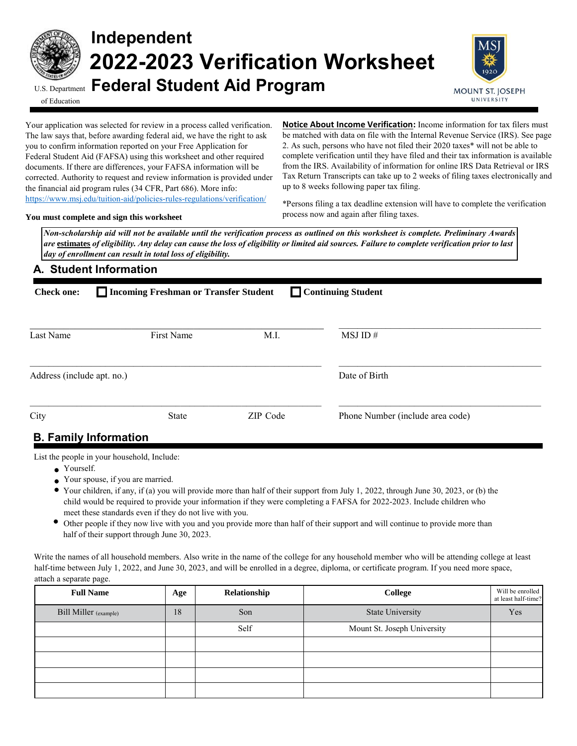

# **Independent 2022-2023 Verification Worksheet** U.S. Department **Federal Student Aid Program**



of Education

Your application was selected for review in a process called verification. The law says that, before awarding federal aid, we have the right to ask you to confirm information reported on your Free Application for Federal Student Aid (FAFSA) using this worksheet and other required documents. If there are differences, your FAFSA information will be corrected. Authority to request and review information is provided under the financial aid program rules (34 CFR, Part 686). More info: <https://www.msj.edu/tuition-aid/policies-rules-regulations/verification/>

**Notice About Income Verification:** Income information for tax filers must be matched with data on file with the Internal Revenue Service (IRS). See page 2. As such, persons who have not filed their 2020 taxes\* will not be able to complete verification until they have filed and their tax information is available from the IRS. Availability of information for online IRS Data Retrieval or IRS Tax Return Transcripts can take up to 2 weeks of filing taxes electronically and up to 8 weeks following paper tax filing.

**You must complete and sign this worksheet**

\*Persons filing a tax deadline extension will have to complete the verification process now and again after filing taxes.

*Non-scholarship aid will not be available until the verification process as outlined on this worksheet is complete. Preliminary Awards are* **estimates** *of eligibility. Any delay can cause the loss of eligibility or limited aid sources. Failure to complete verification prior to last day of enrollment can result in total loss of eligibility.* 

### **A. Student Information**

| Continuing Student<br>Incoming Freshman or Transfer Student<br><b>Check one:</b> |                             |          |                                  |  |  |  |  |
|----------------------------------------------------------------------------------|-----------------------------|----------|----------------------------------|--|--|--|--|
| Last Name                                                                        | First Name                  | M.I.     | MSJID#                           |  |  |  |  |
| Address (include apt. no.)                                                       |                             |          | Date of Birth                    |  |  |  |  |
| City                                                                             | <b>State</b>                | ZIP Code | Phone Number (include area code) |  |  |  |  |
|                                                                                  | <b>R</b> Family Information |          |                                  |  |  |  |  |

# **B. Family Information**

List the people in your household, Include:

- Yourself.
- Your spouse, if you are married.
- Your children, if any, if (a) you will provide more than half of their support from July 1, 2022, through June 30, 2023, or (b) the child would be required to provide your information if they were completing a FAFSA for 2022-2023. Include children who meet these standards even if they do not live with you.
- Other people if they now live with you and you provide more than half of their support and will continue to provide more than half of their support through June 30, 2023.

Write the names of all household members. Also write in the name of the college for any household member who will be attending college at least half-time between July 1, 2022, and June 30, 2023, and will be enrolled in a degree, diploma, or certificate program. If you need more space, attach a separate page.

| <b>Full Name</b>             | Age | Relationship | College                     | Will be enrolled<br>at least half-time? |
|------------------------------|-----|--------------|-----------------------------|-----------------------------------------|
| <b>Bill Miller</b> (example) | 18  | Son          | <b>State University</b>     | Yes                                     |
|                              |     | Self         | Mount St. Joseph University |                                         |
|                              |     |              |                             |                                         |
|                              |     |              |                             |                                         |
|                              |     |              |                             |                                         |
|                              |     |              |                             |                                         |